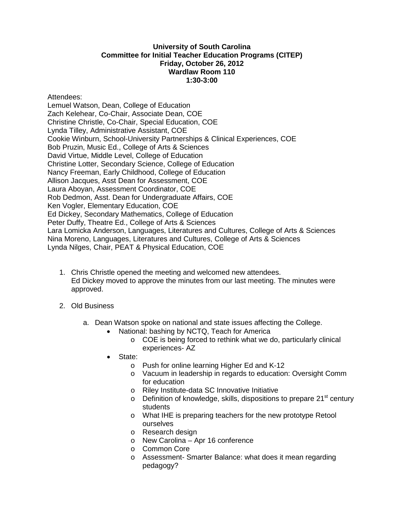## **University of South Carolina Committee for Initial Teacher Education Programs (CITEP) Friday, October 26, 2012 Wardlaw Room 110 1:30-3:00**

Attendees:

Lemuel Watson, Dean, College of Education Zach Kelehear, Co-Chair, Associate Dean, COE Christine Christle, Co-Chair, Special Education, COE Lynda Tilley, Administrative Assistant, COE Cookie Winburn, School-University Partnerships & Clinical Experiences, COE Bob Pruzin, Music Ed., College of Arts & Sciences David Virtue, Middle Level, College of Education Christine Lotter, Secondary Science, College of Education Nancy Freeman, Early Childhood, College of Education Allison Jacques, Asst Dean for Assessment, COE Laura Aboyan, Assessment Coordinator, COE Rob Dedmon, Asst. Dean for Undergraduate Affairs, COE Ken Vogler, Elementary Education, COE Ed Dickey, Secondary Mathematics, College of Education Peter Duffy, Theatre Ed., College of Arts & Sciences Lara Lomicka Anderson, Languages, Literatures and Cultures, College of Arts & Sciences Nina Moreno, Languages, Literatures and Cultures, College of Arts & Sciences Lynda Nilges, Chair, PEAT & Physical Education, COE

- 1. Chris Christle opened the meeting and welcomed new attendees. Ed Dickey moved to approve the minutes from our last meeting. The minutes were approved.
- 2. Old Business
	- a. Dean Watson spoke on national and state issues affecting the College.
		- National: bashing by NCTQ, Teach for America
			- o COE is being forced to rethink what we do, particularly clinical experiences- AZ
		- State:
			- o Push for online learning Higher Ed and K-12
			- o Vacuum in leadership in regards to education: Oversight Comm for education
			- o Riley Institute-data SC Innovative Initiative
			- $\circ$  Definition of knowledge, skills, dispositions to prepare 21<sup>st</sup> century students
			- o What IHE is preparing teachers for the new prototype Retool ourselves
			- o Research design
			- o New Carolina Apr 16 conference
			- o Common Core
			- o Assessment- Smarter Balance: what does it mean regarding pedagogy?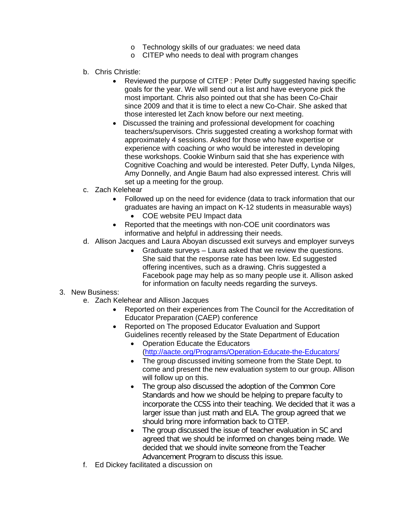- o Technology skills of our graduates: we need data
- o CITEP who needs to deal with program changes
- b. Chris Christle:
	- Reviewed the purpose of CITEP : Peter Duffy suggested having specific goals for the year. We will send out a list and have everyone pick the most important. Chris also pointed out that she has been Co-Chair since 2009 and that it is time to elect a new Co-Chair. She asked that those interested let Zach know before our next meeting.
	- Discussed the training and professional development for coaching teachers/supervisors. Chris suggested creating a workshop format with approximately 4 sessions. Asked for those who have expertise or experience with coaching or who would be interested in developing these workshops. Cookie Winburn said that she has experience with Cognitive Coaching and would be interested. Peter Duffy, Lynda Nilges, Amy Donnelly, and Angie Baum had also expressed interest. Chris will set up a meeting for the group.
- c. Zach Kelehear
	- Followed up on the need for evidence (data to track information that our graduates are having an impact on K-12 students in measurable ways)
		- COE website PEU Impact data
	- Reported that the meetings with non-COE unit coordinators was informative and helpful in addressing their needs.
- d. Allison Jacques and Laura Aboyan discussed exit surveys and employer surveys
	- Graduate surveys Laura asked that we review the questions. She said that the response rate has been low. Ed suggested offering incentives, such as a drawing. Chris suggested a Facebook page may help as so many people use it. Allison asked for information on faculty needs regarding the surveys.

## 3. New Business:

- e. Zach Kelehear and Allison Jacques
	- Reported on their experiences from The Council for the Accreditation of Educator Preparation (CAEP) conference
	- Reported on The proposed Educator Evaluation and Support Guidelines recently released by the State Department of Education
		- Operation Educate the Educators [\(http://aacte.org/Programs/Operation-Educate-the-Educators/](http://aacte.org/Programs/Operation-Educate-the-Educators/)
		- The group discussed inviting someone from the State Dept. to come and present the new evaluation system to our group. Allison will follow up on this.
		- The group also discussed the adoption of the Common Core Standards and how we should be helping to prepare faculty to incorporate the CCSS into their teaching. We decided that it was a larger issue than just math and ELA. The group agreed that we should bring more information back to CITEP.
		- The group discussed the issue of teacher evaluation in SC and agreed that we should be informed on changes being made. We decided that we should invite someone from the Teacher Advancement Program to discuss this issue.
- f. Ed Dickey facilitated a discussion on